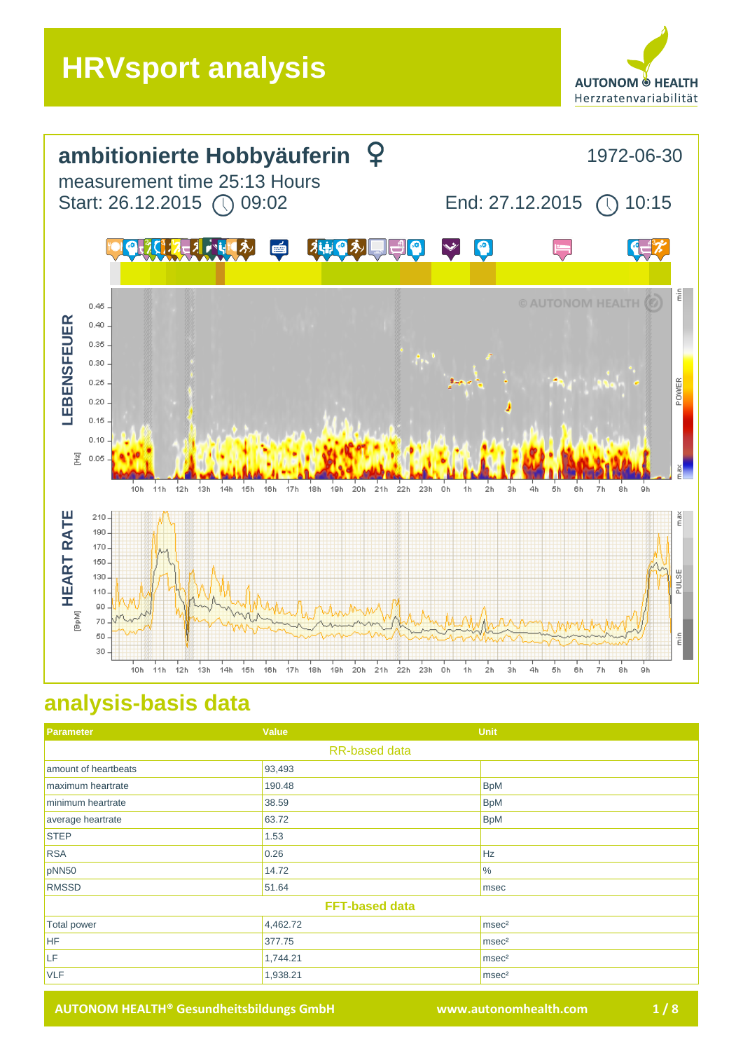



## **analysis-basis data**

| Parameter             | Value    | <b>Unit</b>       |
|-----------------------|----------|-------------------|
| <b>RR-based data</b>  |          |                   |
| amount of heartbeats  | 93,493   |                   |
| maximum heartrate     | 190.48   | <b>BpM</b>        |
| minimum heartrate     | 38.59    | <b>BpM</b>        |
| average heartrate     | 63.72    | <b>BpM</b>        |
| <b>STEP</b>           | 1.53     |                   |
| <b>RSA</b>            | 0.26     | Hz                |
| pNN50                 | 14.72    | $\frac{9}{6}$     |
| <b>RMSSD</b>          | 51.64    | msec              |
| <b>FFT-based data</b> |          |                   |
| <b>Total power</b>    | 4,462.72 | msec <sup>2</sup> |
| HF                    | 377.75   | msec <sup>2</sup> |
| LF                    | 1,744.21 | msec <sup>2</sup> |
| <b>VLF</b>            | 1,938.21 | msec <sup>2</sup> |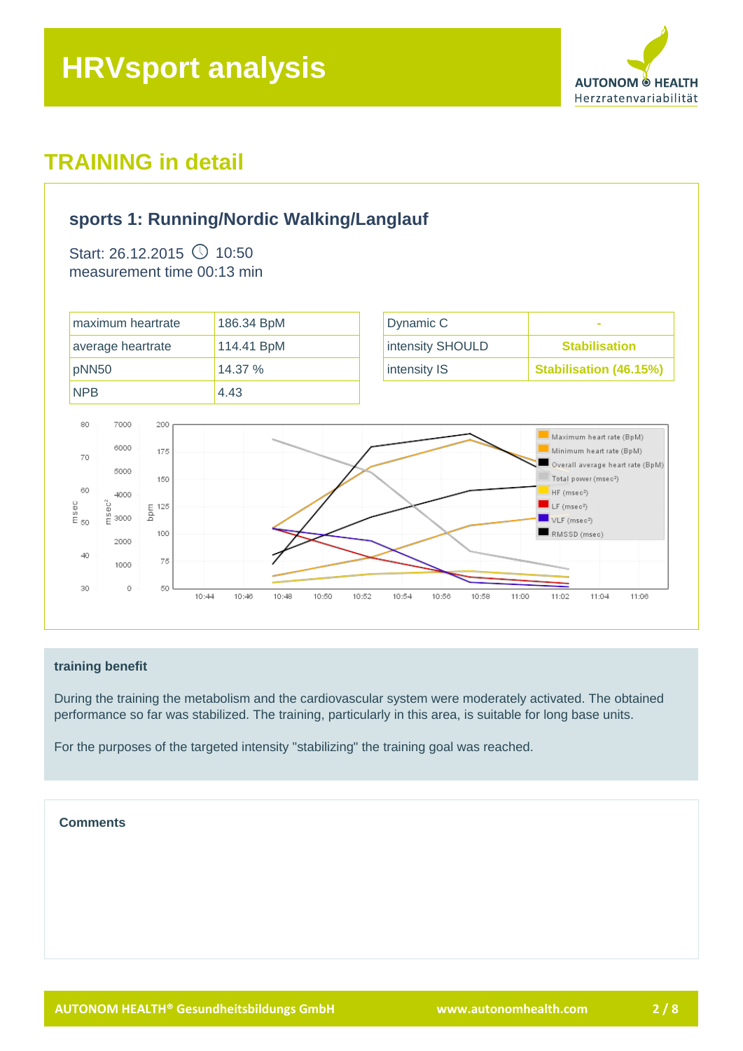

## **sports 1: Running/Nordic Walking/Langlauf**

Start: 26.12.2015  $\circled{}$  10:50 measurement time 00:13 min



#### **training benefit**

During the training the metabolism and the cardiovascular system were moderately activated. The obtained performance so far was stabilized. The training, particularly in this area, is suitable for long base units.

For the purposes of the targeted intensity "stabilizing" the training goal was reached.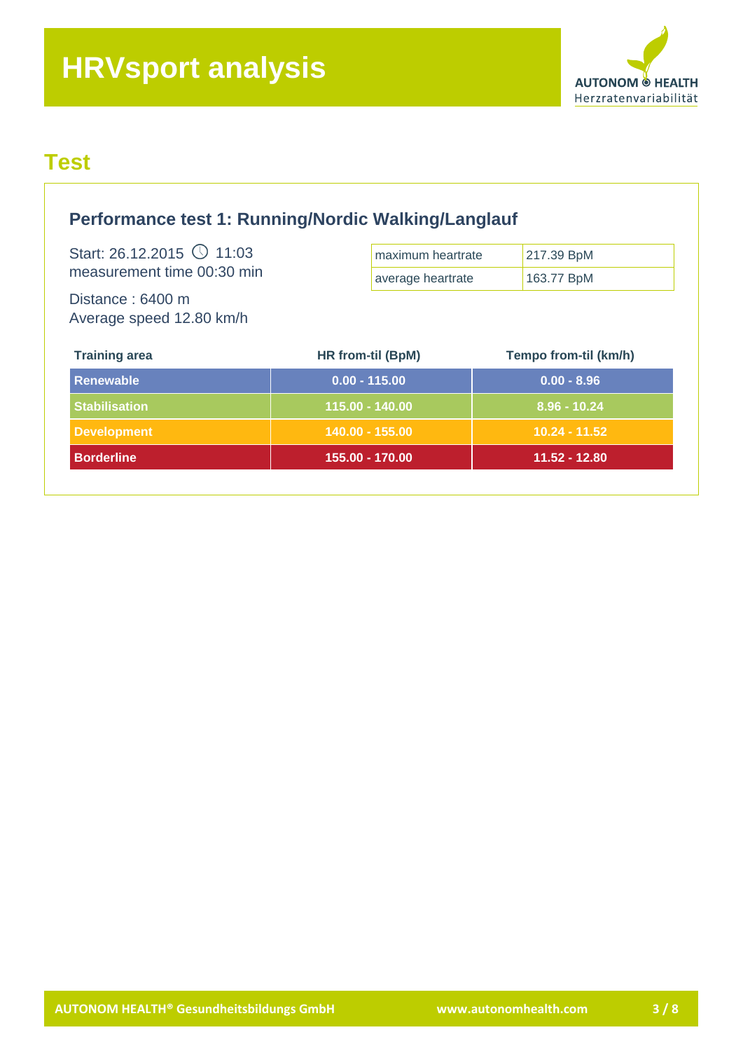

## **Test**

| Performance test 1: Running/Nordic Walking/Langlauf           |                   |                              |
|---------------------------------------------------------------|-------------------|------------------------------|
| Start: 26.12.2015 $\circ$ 11:03<br>measurement time 00:30 min | maximum heartrate | 217.39 BpM<br>163.77 BpM     |
| Distance: 6400 m<br>Average speed 12.80 km/h                  | average heartrate |                              |
| <b>Training area</b>                                          | HR from-til (BpM) | <b>Tempo from-til (km/h)</b> |
| <b>Renewable</b>                                              | $0.00 - 115.00$   | $0.00 - 8.96$                |
| <b>Stabilisation</b>                                          | 115.00 - 140.00   | $8.96 - 10.24$               |
|                                                               | 140.00 - 155.00   | $10.24 - 11.52$              |
| <b>Development</b>                                            |                   |                              |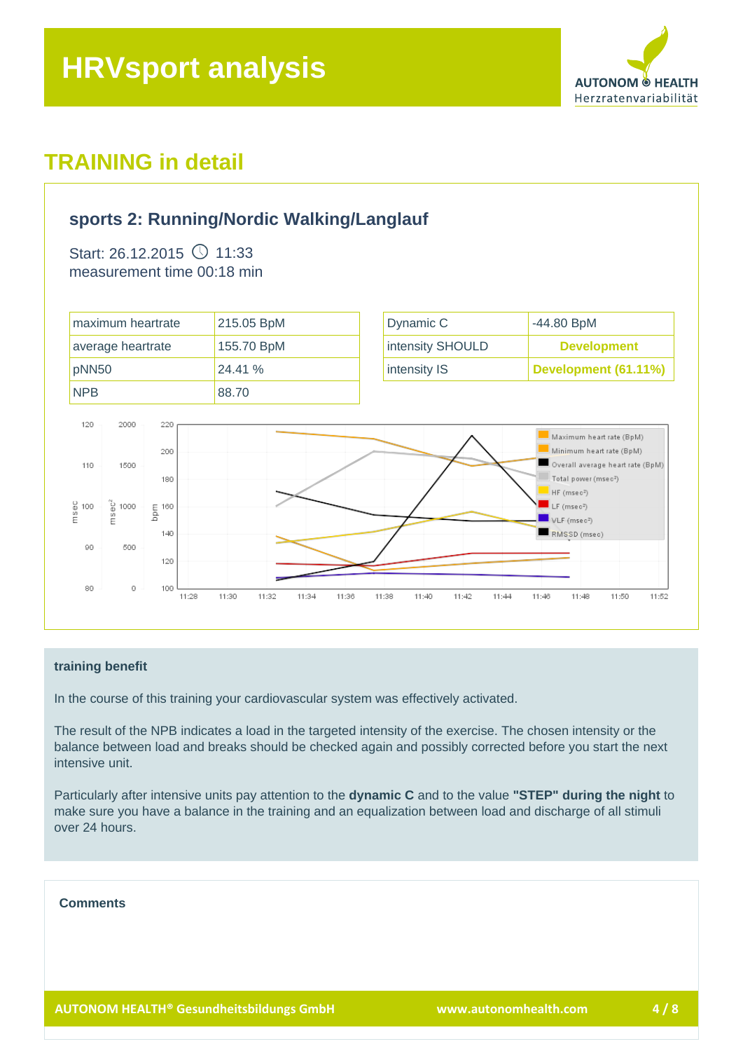

## **sports 2: Running/Nordic Walking/Langlauf**

Start: 26.12.2015  $\circ$  11:33 measurement time 00:18 min



#### **training benefit**

In the course of this training your cardiovascular system was effectively activated.

The result of the NPB indicates a load in the targeted intensity of the exercise. The chosen intensity or the balance between load and breaks should be checked again and possibly corrected before you start the next intensive unit.

Particularly after intensive units pay attention to the **dynamic C** and to the value **"STEP" during the night** to make sure you have a balance in the training and an equalization between load and discharge of all stimuli over 24 hours.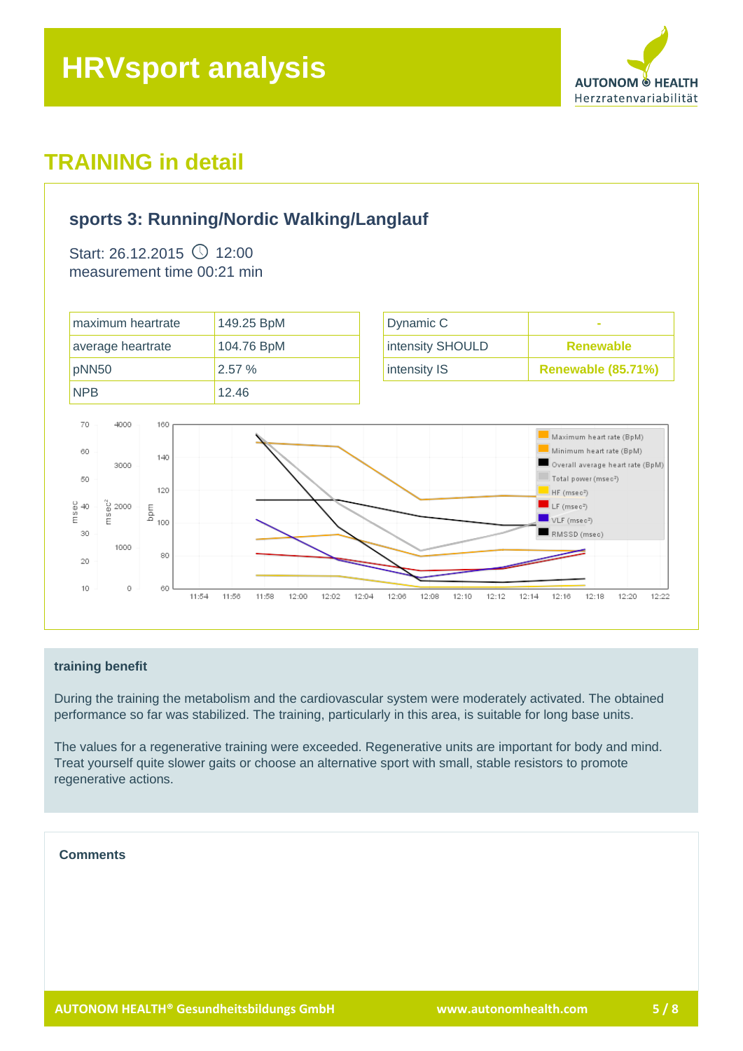

### **sports 3: Running/Nordic Walking/Langlauf**

Start: 26.12.2015  $\circ$  12:00 measurement time 00:21 min



#### **training benefit**

During the training the metabolism and the cardiovascular system were moderately activated. The obtained performance so far was stabilized. The training, particularly in this area, is suitable for long base units.

The values for a regenerative training were exceeded. Regenerative units are important for body and mind. Treat yourself quite slower gaits or choose an alternative sport with small, stable resistors to promote regenerative actions.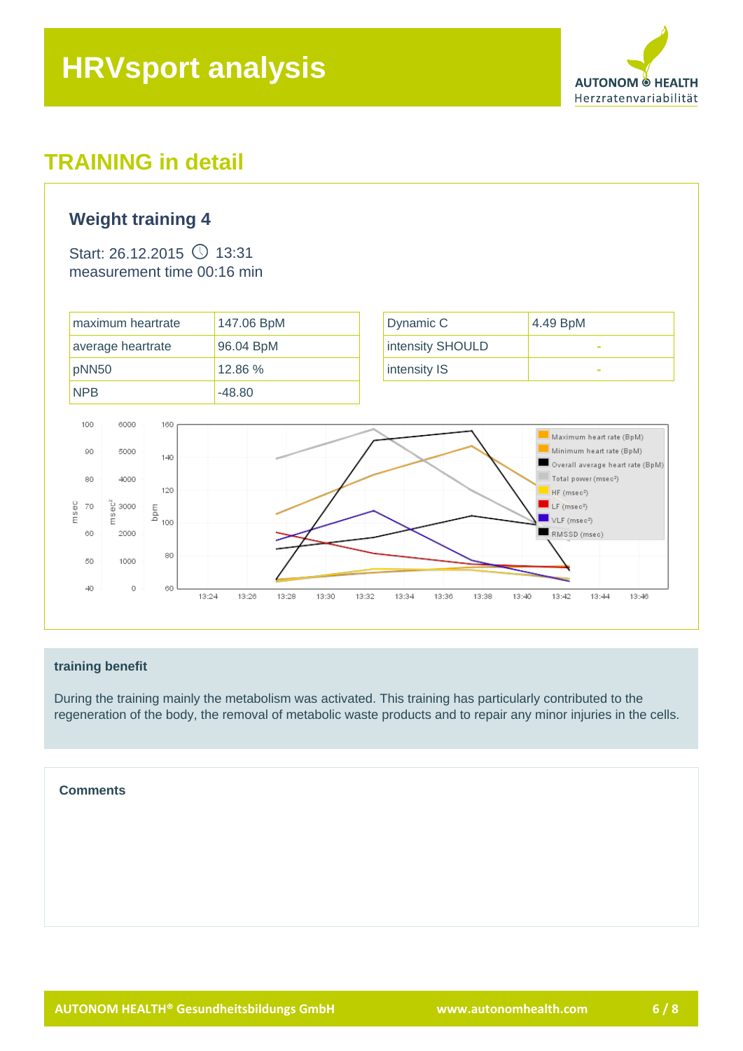

### **Weight training 4**

Start: 26.12.2015  $\circ$  13:31 measurement time 00:16 min



#### **training benefit**

During the training mainly the metabolism was activated. This training has particularly contributed to the regeneration of the body, the removal of metabolic waste products and to repair any minor injuries in the cells.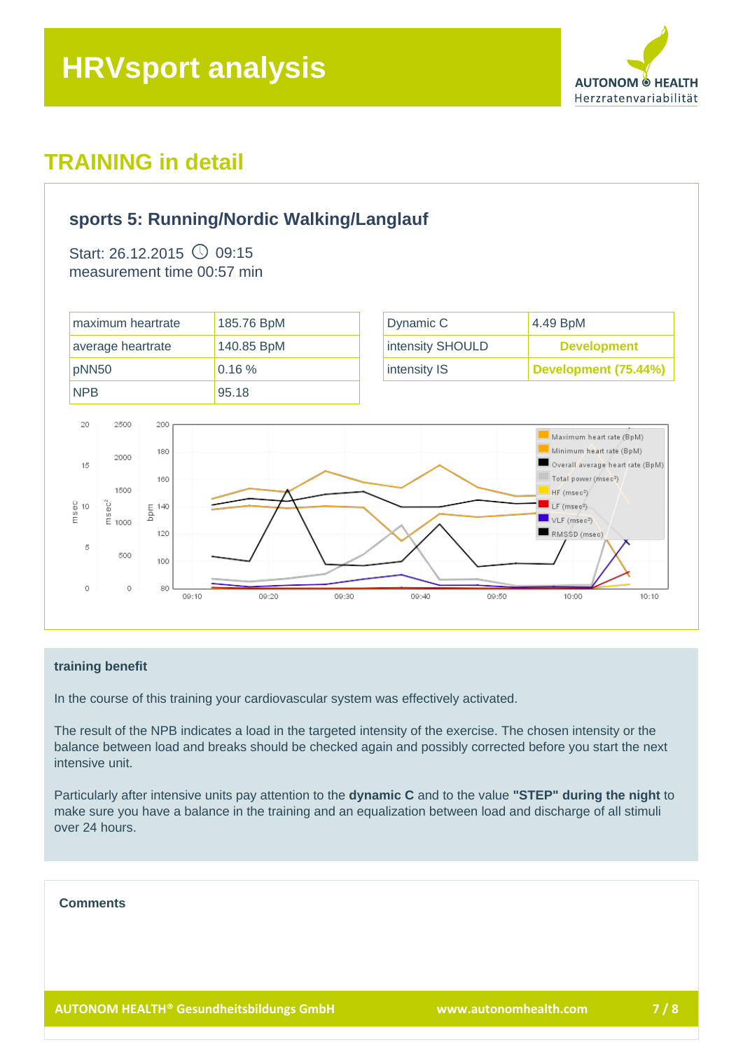

### **sports 5: Running/Nordic Walking/Langlauf**

Start: 26.12.2015  $\circ$  09:15 measurement time 00:57 min



#### **training benefit**

In the course of this training your cardiovascular system was effectively activated.

The result of the NPB indicates a load in the targeted intensity of the exercise. The chosen intensity or the balance between load and breaks should be checked again and possibly corrected before you start the next intensive unit.

Particularly after intensive units pay attention to the **dynamic C** and to the value **"STEP" during the night** to make sure you have a balance in the training and an equalization between load and discharge of all stimuli over 24 hours.